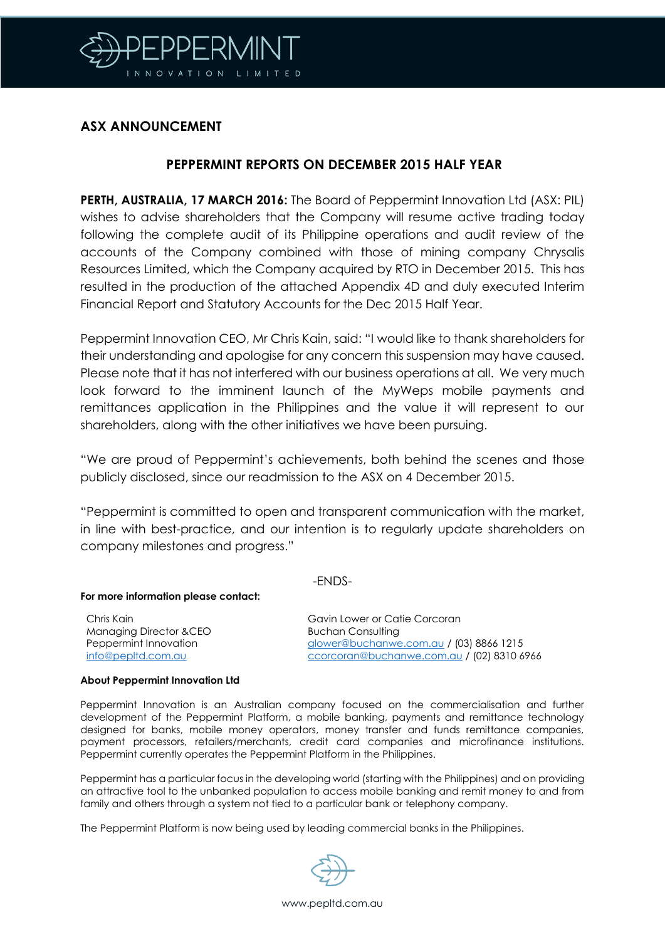

### **ASX ANNOUNCEMENT**

### **PEPPERMINT REPORTS ON DECEMBER 2015 HALF YEAR**

**PERTH, AUSTRALIA, 17 MARCH 2016:** The Board of Peppermint Innovation Ltd (ASX: PIL) wishes to advise shareholders that the Company will resume active trading today following the complete audit of its Philippine operations and audit review of the accounts of the Company combined with those of mining company Chrysalis Resources Limited, which the Company acquired by RTO in December 2015. This has resulted in the production of the attached Appendix 4D and duly executed Interim Financial Report and Statutory Accounts for the Dec 2015 Half Year.

Peppermint Innovation CEO, Mr Chris Kain, said: "I would like to thank shareholders for their understanding and apologise for any concern this suspension may have caused. Please note that it has not interfered with our business operations at all. We very much look forward to the imminent launch of the MyWeps mobile payments and remittances application in the Philippines and the value it will represent to our shareholders, along with the other initiatives we have been pursuing.

"We are proud of Peppermint's achievements, both behind the scenes and those publicly disclosed, since our readmission to the ASX on 4 December 2015.

"Peppermint is committed to open and transparent communication with the market, in line with best-practice, and our intention is to regularly update shareholders on company milestones and progress."

#### -ENDS-

#### **For more information please contact:**

Chris Kain Managing Director &CEO Peppermint Innovation [info@pepltd.com.au](mailto:info@pepltd.com.au)

Gavin Lower or Catie Corcoran Buchan Consulting [glower@buchanwe.com.au](mailto:glower@buchanwe.com.au) / (03) 8866 1215 [ccorcoran@buchanwe.com.au](mailto:ccorcoran@buchanwe.com.au) / (02) 8310 6966

#### **About Peppermint Innovation Ltd**

Peppermint Innovation is an Australian company focused on the commercialisation and further development of the Peppermint Platform, a mobile banking, payments and remittance technology designed for banks, mobile money operators, money transfer and funds remittance companies, payment processors, retailers/merchants, credit card companies and microfinance institutions. Peppermint currently operates the Peppermint Platform in the Philippines.

Peppermint has a particular focus in the developing world (starting with the Philippines) and on providing an attractive tool to the unbanked population to access mobile banking and remit money to and from family and others through a system not tied to a particular bank or telephony company.

The Peppermint Platform is now being used by leading commercial banks in the Philippines.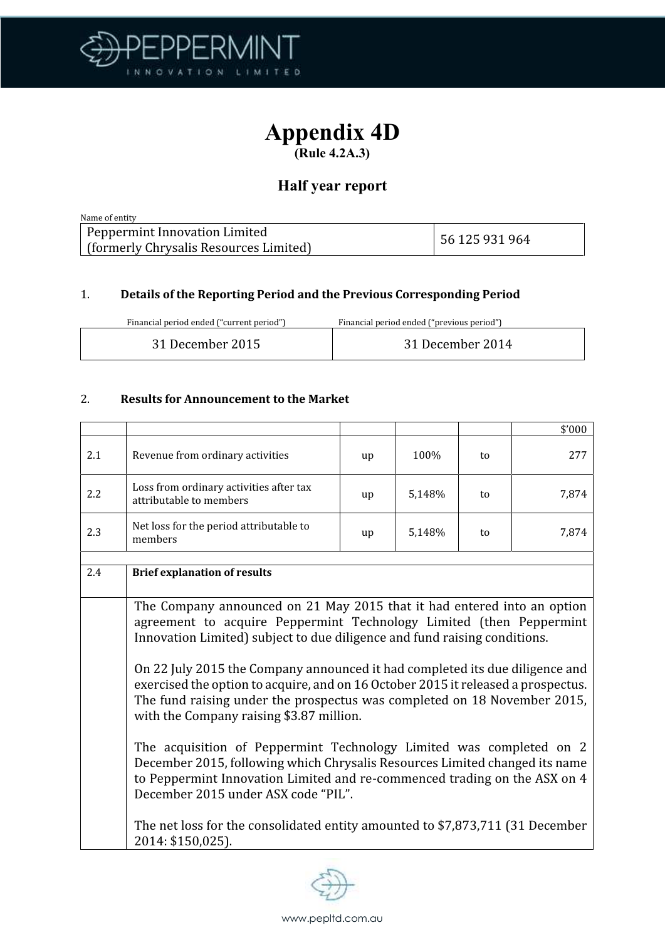

# Appendix 4D

(Rule 4.2A.3)

### Half year report

| Name of entity                                                            |                |
|---------------------------------------------------------------------------|----------------|
| Peppermint Innovation Limited<br>[ (formerly Chrysalis Resources Limited) | 56 125 931 964 |

### 1. **Details of the Reporting Period and the Previous Corresponding Period**

| Financial period ended ("current period") | Financial period ended ("previous period") |
|-------------------------------------------|--------------------------------------------|
|                                           |                                            |

| 31 December 2015 | 31 December 2014 |
|------------------|------------------|
|                  |                  |

### 2. **Results for Announcement to the Market**

| 2.1<br>Revenue from ordinary activities<br>Loss from ordinary activities after tax<br>2.2                                                                                                                                                                                                                                                                                                                                                                                                                                                                                                                                                                                                                                                                                                                                                                                           | up | 100%   | to |       |
|-------------------------------------------------------------------------------------------------------------------------------------------------------------------------------------------------------------------------------------------------------------------------------------------------------------------------------------------------------------------------------------------------------------------------------------------------------------------------------------------------------------------------------------------------------------------------------------------------------------------------------------------------------------------------------------------------------------------------------------------------------------------------------------------------------------------------------------------------------------------------------------|----|--------|----|-------|
|                                                                                                                                                                                                                                                                                                                                                                                                                                                                                                                                                                                                                                                                                                                                                                                                                                                                                     |    |        |    | 277   |
| attributable to members                                                                                                                                                                                                                                                                                                                                                                                                                                                                                                                                                                                                                                                                                                                                                                                                                                                             | up | 5,148% | to | 7,874 |
| Net loss for the period attributable to<br>2.3<br>members                                                                                                                                                                                                                                                                                                                                                                                                                                                                                                                                                                                                                                                                                                                                                                                                                           | up | 5,148% | to | 7,874 |
| 2.4<br><b>Brief explanation of results</b>                                                                                                                                                                                                                                                                                                                                                                                                                                                                                                                                                                                                                                                                                                                                                                                                                                          |    |        |    |       |
| The Company announced on 21 May 2015 that it had entered into an option<br>agreement to acquire Peppermint Technology Limited (then Peppermint<br>Innovation Limited) subject to due diligence and fund raising conditions.<br>On 22 July 2015 the Company announced it had completed its due diligence and<br>exercised the option to acquire, and on 16 October 2015 it released a prospectus.<br>The fund raising under the prospectus was completed on 18 November 2015,<br>with the Company raising \$3.87 million.<br>The acquisition of Peppermint Technology Limited was completed on 2<br>December 2015, following which Chrysalis Resources Limited changed its name<br>to Peppermint Innovation Limited and re-commenced trading on the ASX on 4<br>December 2015 under ASX code "PIL".<br>The net loss for the consolidated entity amounted to \$7,873,711 (31 December |    |        |    |       |

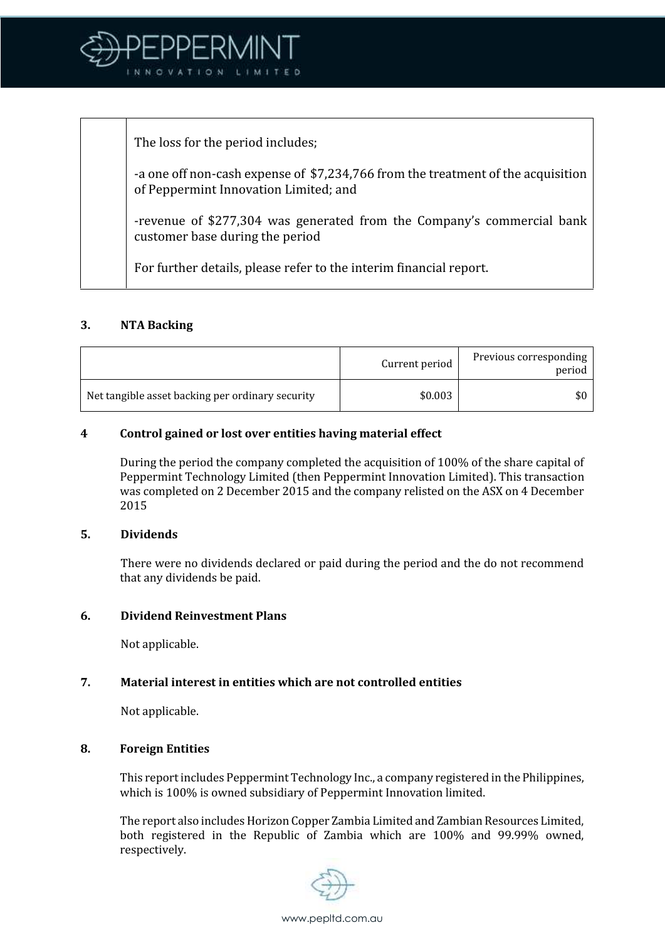

The loss for the period includes;

-a one off non-cash expense of \$7,234,766 from the treatment of the acquisition of Peppermint Innovation Limited; and

-revenue of \$277,304 was generated from the Company's commercial bank customer base during the period

For further details, please refer to the interim financial report.

### **3. NTA Backing**

|                                                  | Current period | Previous corresponding<br>period |
|--------------------------------------------------|----------------|----------------------------------|
| Net tangible asset backing per ordinary security | \$0.003        | \$0                              |

### **4 Control gained or lost over entities having material effect**

During the period the company completed the acquisition of 100% of the share capital of Peppermint Technology Limited (then Peppermint Innovation Limited). This transaction was completed on 2 December 2015 and the company relisted on the ASX on 4 December 2015

### **5. Dividends**

There were no dividends declared or paid during the period and the do not recommend that any dividends be paid.

### **6. Dividend Reinvestment Plans**

Not applicable.

### **7. Material interest in entities which are not controlled entities**

Not applicable.

### **8. Foreign Entities**

This report includes Peppermint Technology Inc., a company registered in the Philippines, which is 100% is owned subsidiary of Peppermint Innovation limited.

The report also includes Horizon Copper Zambia Limited and Zambian Resources Limited, both registered in the Republic of Zambia which are 100% and 99.99% owned, respectively.

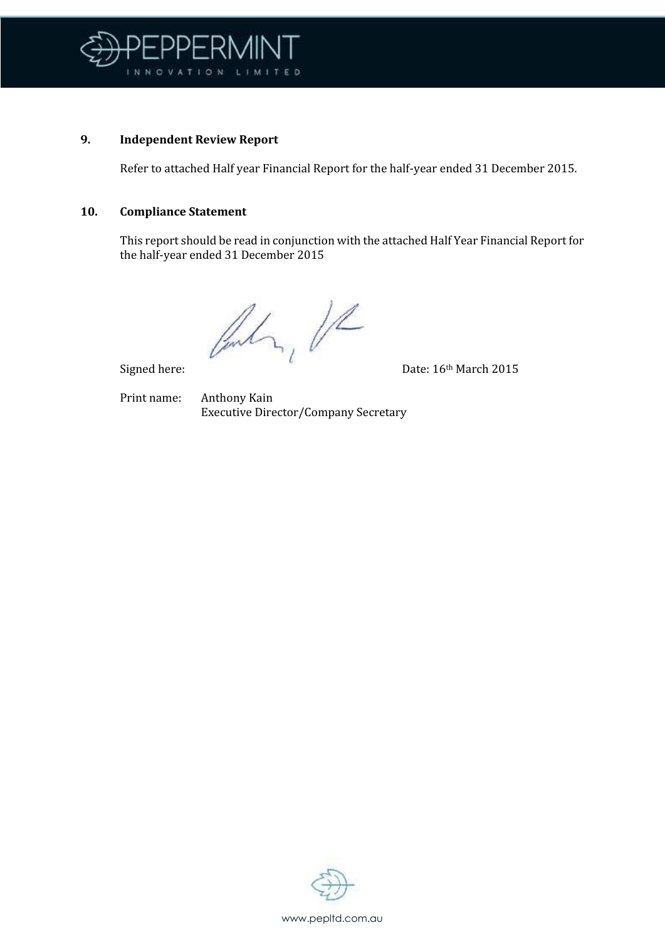

### **9. Independent Review Report**

Refer to attached Half year Financial Report for the half-year ended 31 December 2015.

#### **10. Compliance Statement**

This report should be read in conjunction with the attached Half Year Financial Report for the half-year ended 31 December 2015

Centry VR

Signed here: Date: 16th March 2015

Print name: Anthony Kain Executive Director/Company Secretary

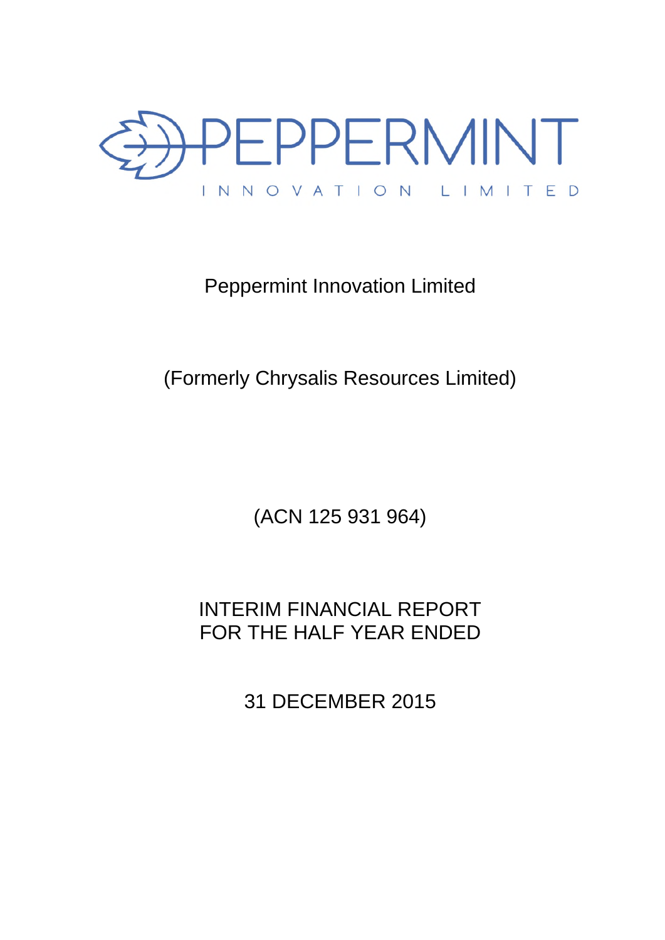

# Peppermint Innovation Limited

# (Formerly Chrysalis Resources Limited)

(ACN 125 931 964)

# INTERIM FINANCIAL REPORT FOR THE HALF YEAR ENDED

31 DECEMBER 2015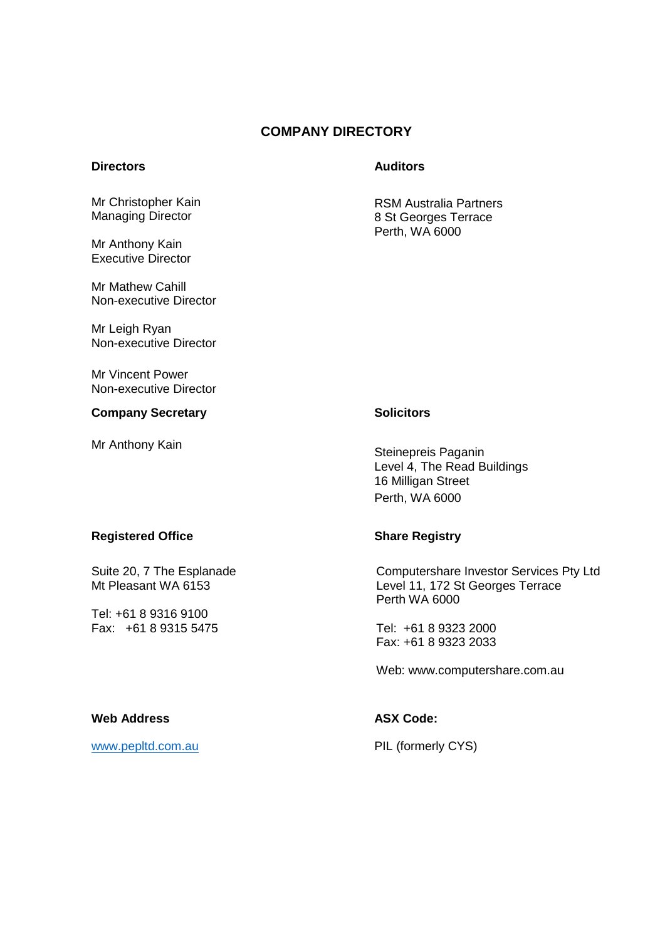### **COMPANY DIRECTORY**

Mr Christopher Kain Managing Director

Mr Anthony Kain Executive Director

Mr Mathew Cahill Non-executive Director

Mr Leigh Ryan Non-executive Director

Mr Vincent Power Non-executive Director

#### **Company Secretary Company Solicitors**

#### **Directors Auditors Auditors**

RSM Australia Partners 8 St Georges Terrace Perth, WA 6000

Mr Anthony Kain Steinepreis Paganin Level 4, The Read Buildings 16 Milligan Street Perth, WA 6000

#### **Registered Office Share Registry Allen Share Registry**

Suite 20, 7 The Esplanade Mt Pleasant WA 6153

Tel: +61 8 9316 9100 Fax: +61 8 9315 5475

Computershare Investor Services Pty Ltd Level 11, 172 St Georges Terrace Perth WA 6000

Tel: +61 8 9323 2000 Fax: +61 8 9323 2033

Web: www.computershare.com.au

### Web Address **ASX Code: ASX Code:**

www.pepltd.com.au PIL (formerly CYS)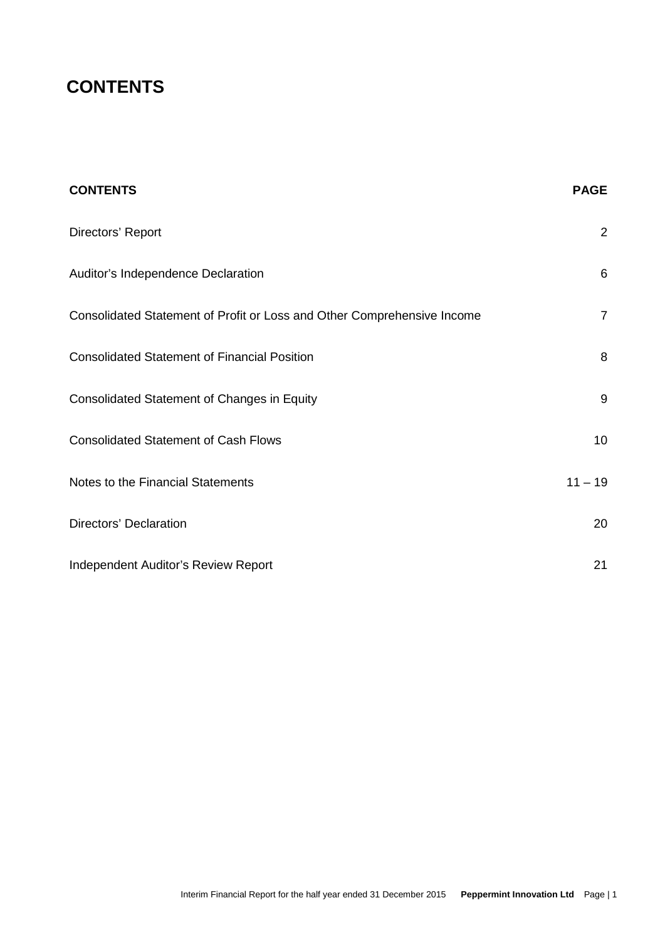# **CONTENTS**

| <b>CONTENTS</b>                                                         | <b>PAGE</b>    |
|-------------------------------------------------------------------------|----------------|
| Directors' Report                                                       | $\overline{2}$ |
| Auditor's Independence Declaration                                      | 6              |
| Consolidated Statement of Profit or Loss and Other Comprehensive Income | $\overline{7}$ |
| <b>Consolidated Statement of Financial Position</b>                     | 8              |
| <b>Consolidated Statement of Changes in Equity</b>                      | 9              |
| <b>Consolidated Statement of Cash Flows</b>                             | 10             |
| Notes to the Financial Statements                                       | $11 - 19$      |
| <b>Directors' Declaration</b>                                           | 20             |
| Independent Auditor's Review Report                                     | 21             |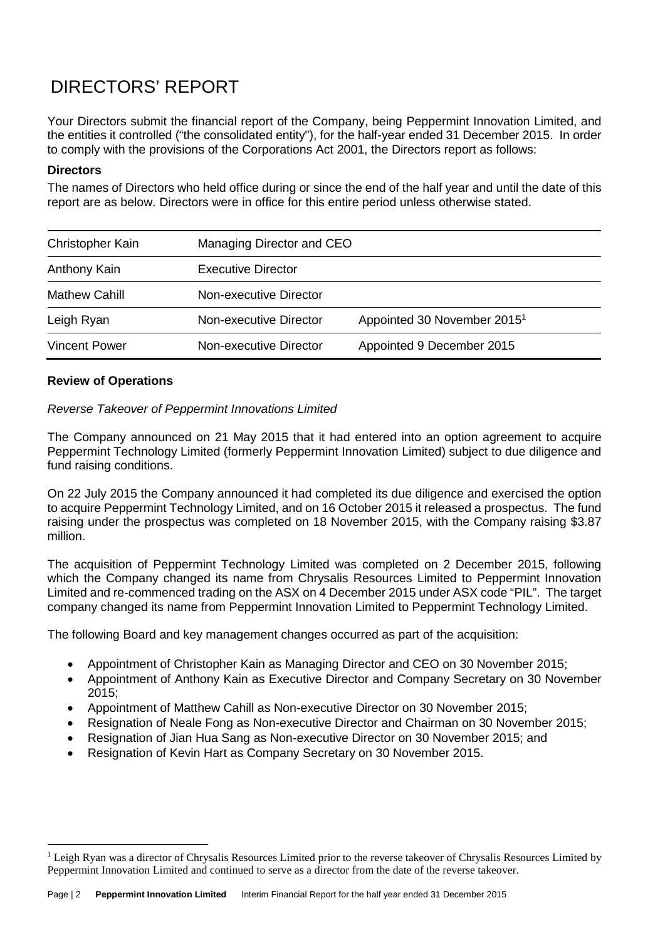Your Directors submit the financial report of the Company, being Peppermint Innovation Limited, and the entities it controlled ("the consolidated entity"), for the half-year ended 31 December 2015. In order to comply with the provisions of the Corporations Act 2001, the Directors report as follows:

### **Directors**

The names of Directors who held office during or since the end of the half year and until the date of this report are as below. Directors were in office for this entire period unless otherwise stated.

| Christopher Kain     | Managing Director and CEO |                                         |
|----------------------|---------------------------|-----------------------------------------|
| Anthony Kain         | <b>Executive Director</b> |                                         |
| <b>Mathew Cahill</b> | Non-executive Director    |                                         |
| Leigh Ryan           | Non-executive Director    | Appointed 30 November 2015 <sup>1</sup> |
| <b>Vincent Power</b> | Non-executive Director    | Appointed 9 December 2015               |

### **Review of Operations**

### *Reverse Takeover of Peppermint Innovations Limited*

The Company announced on 21 May 2015 that it had entered into an option agreement to acquire Peppermint Technology Limited (formerly Peppermint Innovation Limited) subject to due diligence and fund raising conditions.

On 22 July 2015 the Company announced it had completed its due diligence and exercised the option to acquire Peppermint Technology Limited, and on 16 October 2015 it released a prospectus. The fund raising under the prospectus was completed on 18 November 2015, with the Company raising \$3.87 million.

The acquisition of Peppermint Technology Limited was completed on 2 December 2015, following which the Company changed its name from Chrysalis Resources Limited to Peppermint Innovation Limited and re-commenced trading on the ASX on 4 December 2015 under ASX code "PIL". The target company changed its name from Peppermint Innovation Limited to Peppermint Technology Limited.

The following Board and key management changes occurred as part of the acquisition:

- Appointment of Christopher Kain as Managing Director and CEO on 30 November 2015;
- Appointment of Anthony Kain as Executive Director and Company Secretary on 30 November  $2015$
- Appointment of Matthew Cahill as Non-executive Director on 30 November 2015;
- Resignation of Neale Fong as Non-executive Director and Chairman on 30 November 2015;
- Resignation of Jian Hua Sang as Non-executive Director on 30 November 2015; and
- Resignation of Kevin Hart as Company Secretary on 30 November 2015.

<sup>&</sup>lt;sup>1</sup> Leigh Ryan was a director of Chrysalis Resources Limited prior to the reverse takeover of Chrysalis Resources Limited by Peppermint Innovation Limited and continued to serve as a director from the date of the reverse takeover.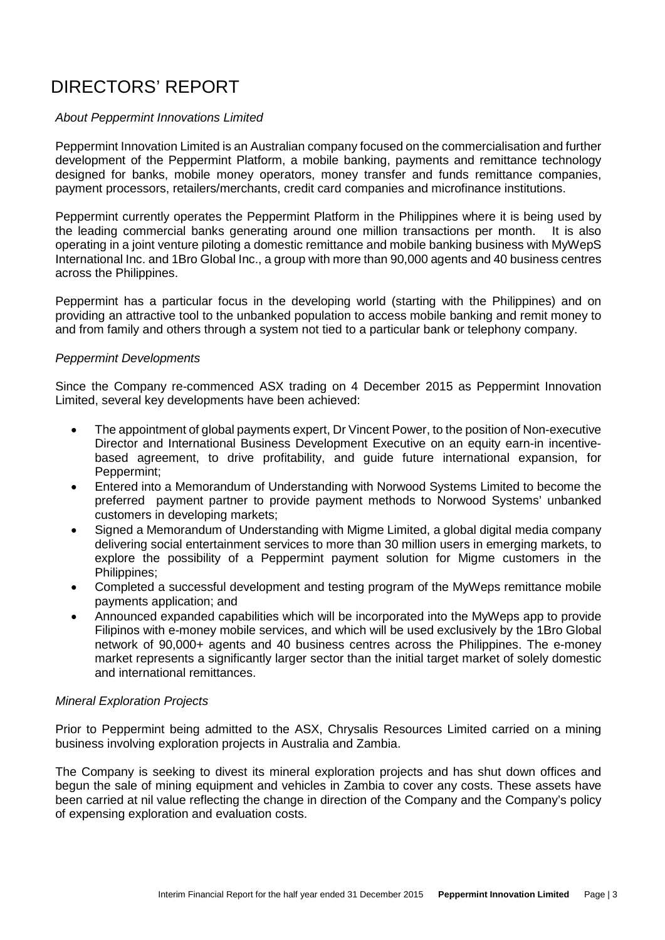#### *About Peppermint Innovations Limited*

Peppermint Innovation Limited is an Australian company focused on the commercialisation and further development of the Peppermint Platform, a mobile banking, payments and remittance technology designed for banks, mobile money operators, money transfer and funds remittance companies, payment processors, retailers/merchants, credit card companies and microfinance institutions.

Peppermint currently operates the Peppermint Platform in the Philippines where it is being used by the leading commercial banks generating around one million transactions per month. It is also operating in a joint venture piloting a domestic remittance and mobile banking business with MyWepS International Inc. and 1Bro Global Inc., a group with more than 90,000 agents and 40 business centres across the Philippines.

Peppermint has a particular focus in the developing world (starting with the Philippines) and on providing an attractive tool to the unbanked population to access mobile banking and remit money to and from family and others through a system not tied to a particular bank or telephony company.

#### *Peppermint Developments*

Since the Company re-commenced ASX trading on 4 December 2015 as Peppermint Innovation Limited, several key developments have been achieved:

- The appointment of global payments expert, Dr Vincent Power, to the position of Non-executive Director and International Business Development Executive on an equity earn-in incentivebased agreement, to drive profitability, and guide future international expansion, for Peppermint;
- Entered into a Memorandum of Understanding with Norwood Systems Limited to become the preferred payment partner to provide payment methods to Norwood Systems' unbanked customers in developing markets;
- Signed a Memorandum of Understanding with Migme Limited, a global digital media company delivering social entertainment services to more than 30 million users in emerging markets, to explore the possibility of a Peppermint payment solution for Migme customers in the Philippines;
- Completed a successful development and testing program of the MyWeps remittance mobile payments application; and
- Announced expanded capabilities which will be incorporated into the MyWeps app to provide Filipinos with e-money mobile services, and which will be used exclusively by the 1Bro Global network of 90,000+ agents and 40 business centres across the Philippines. The e-money market represents a significantly larger sector than the initial target market of solely domestic and international remittances.

#### *Mineral Exploration Projects*

Prior to Peppermint being admitted to the ASX, Chrysalis Resources Limited carried on a mining business involving exploration projects in Australia and Zambia.

The Company is seeking to divest its mineral exploration projects and has shut down offices and begun the sale of mining equipment and vehicles in Zambia to cover any costs. These assets have been carried at nil value reflecting the change in direction of the Company and the Company's policy of expensing exploration and evaluation costs.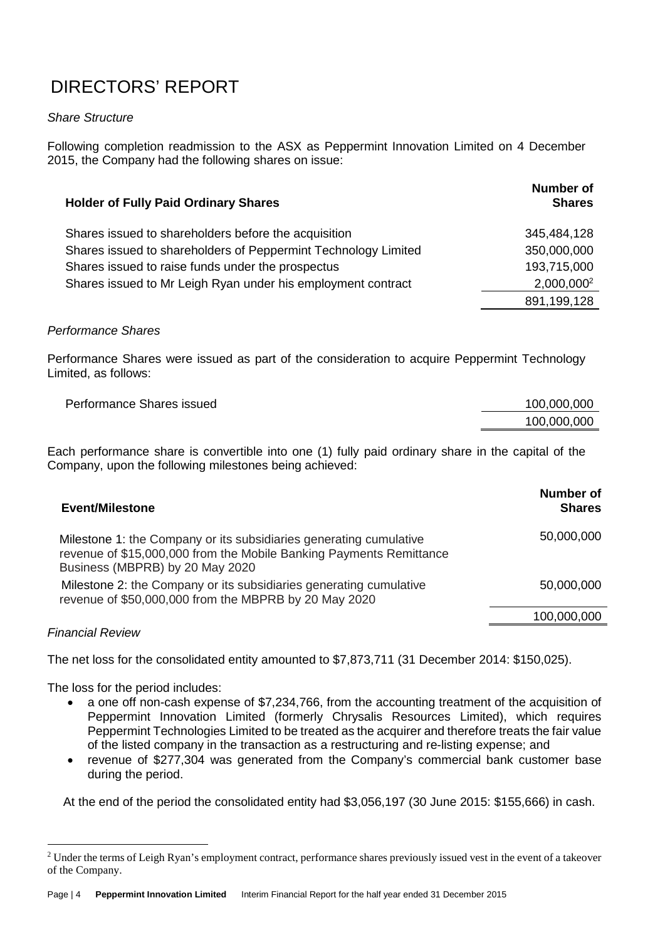### *Share Structure*

Following completion readmission to the ASX as Peppermint Innovation Limited on 4 December 2015, the Company had the following shares on issue:

| <b>Holder of Fully Paid Ordinary Shares</b>                    | <b>Number of</b><br><b>Shares</b> |
|----------------------------------------------------------------|-----------------------------------|
| Shares issued to shareholders before the acquisition           | 345,484,128                       |
| Shares issued to shareholders of Peppermint Technology Limited | 350,000,000                       |
| Shares issued to raise funds under the prospectus              | 193,715,000                       |
| Shares issued to Mr Leigh Ryan under his employment contract   | 2,000,000 <sup>2</sup>            |
|                                                                | 891,199,128                       |

### *Performance Shares*

Performance Shares were issued as part of the consideration to acquire Peppermint Technology Limited, as follows:

| Performance Shares issued | 100,000,000 |
|---------------------------|-------------|
|                           | 100,000,000 |

Each performance share is convertible into one (1) fully paid ordinary share in the capital of the Company, upon the following milestones being achieved:

| <b>Event/Milestone</b>                                                                                                                                                       | <b>Number of</b><br><b>Shares</b> |
|------------------------------------------------------------------------------------------------------------------------------------------------------------------------------|-----------------------------------|
| Milestone 1: the Company or its subsidiaries generating cumulative<br>revenue of \$15,000,000 from the Mobile Banking Payments Remittance<br>Business (MBPRB) by 20 May 2020 | 50,000,000                        |
| Milestone 2: the Company or its subsidiaries generating cumulative<br>revenue of \$50,000,000 from the MBPRB by 20 May 2020                                                  | 50,000,000                        |
|                                                                                                                                                                              | 100,000,000                       |
|                                                                                                                                                                              |                                   |

### *Financial Review*

The net loss for the consolidated entity amounted to \$7,873,711 (31 December 2014: \$150,025).

The loss for the period includes:

- a one off non-cash expense of \$7,234,766, from the accounting treatment of the acquisition of Peppermint Innovation Limited (formerly Chrysalis Resources Limited), which requires Peppermint Technologies Limited to be treated as the acquirer and therefore treats the fair value of the listed company in the transaction as a restructuring and re-listing expense; and
- revenue of \$277,304 was generated from the Company's commercial bank customer base during the period.

At the end of the period the consolidated entity had \$3,056,197 (30 June 2015: \$155,666) in cash.

<sup>&</sup>lt;sup>2</sup> Under the terms of Leigh Ryan's employment contract, performance shares previously issued vest in the event of a takeover of the Company.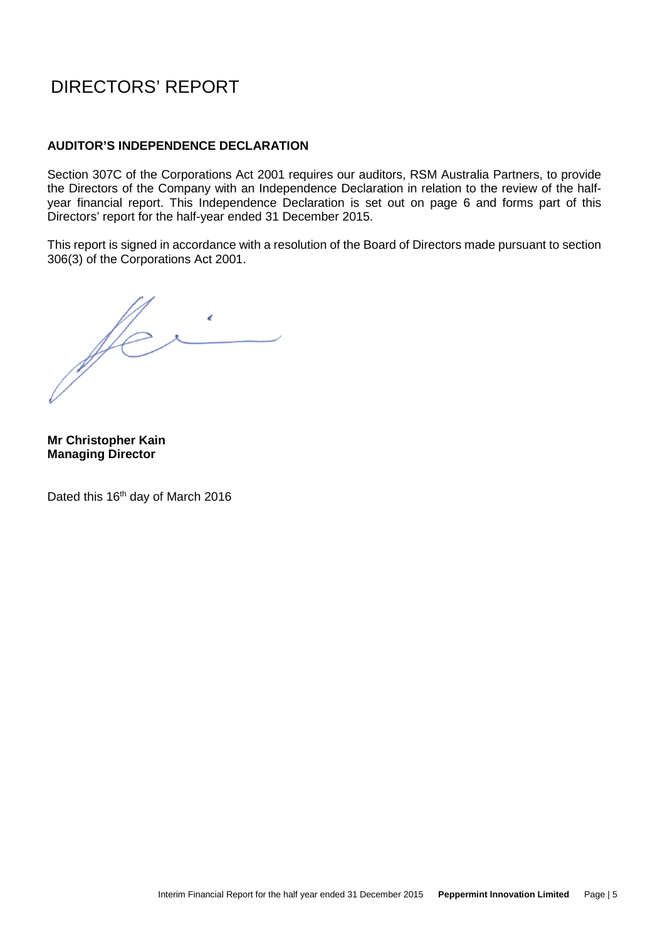#### **AUDITOR'S INDEPENDENCE DECLARATION**

Section 307C of the Corporations Act 2001 requires our auditors, RSM Australia Partners, to provide the Directors of the Company with an Independence Declaration in relation to the review of the halfyear financial report. This Independence Declaration is set out on page 6 and forms part of this Directors' report for the half-year ended 31 December 2015.

This report is signed in accordance with a resolution of the Board of Directors made pursuant to section 306(3) of the Corporations Act 2001.

fer  $\epsilon$  $\mathcal{L}^{\text{max}}_{\text{max}}$ 

**Mr Christopher Kain Managing Director** 

Dated this 16<sup>th</sup> day of March 2016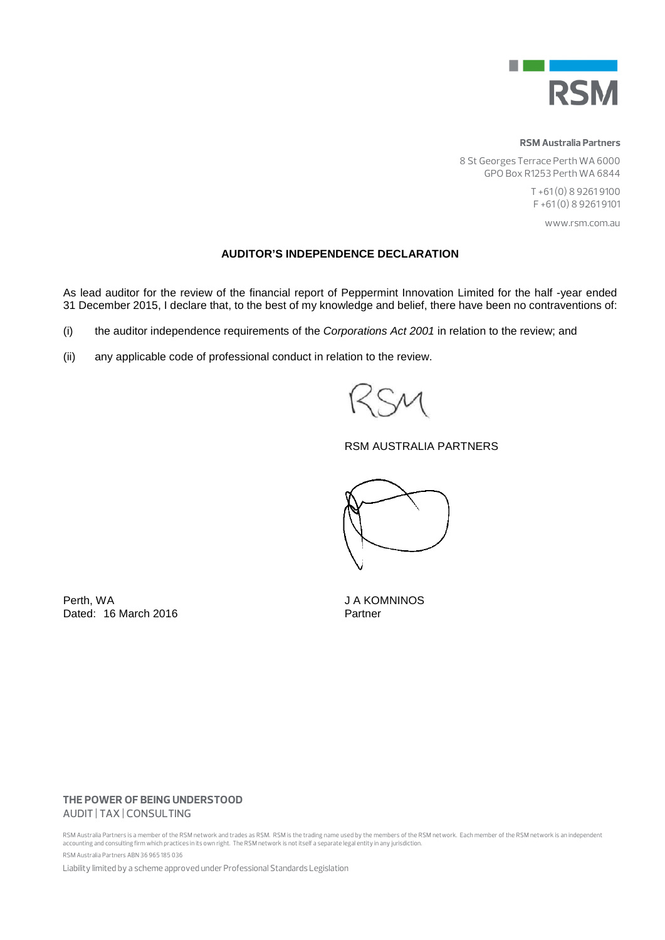

#### **RSM Australia Partners**

8 St Georges Terrace Perth WA 6000 GPO Box R1253 Perth WA 6844

> T +61 (0) 8 9261 9100 F +61 (0) 8 9261 9101

> > www.rsm.com.au

#### **AUDITOR'S INDEPENDENCE DECLARATION**

As lead auditor for the review of the financial report of Peppermint Innovation Limited for the half -year ended 31 December 2015, I declare that, to the best of my knowledge and belief, there have been no contraventions of:

(i) the auditor independence requirements of the *Corporations Act 2001* in relation to the review; and

(ii) any applicable code of professional conduct in relation to the review.

#### RSM AUSTRALIA PARTNERS



Perth, WA JA KOMNINOS Dated: 16 March 2016 **Partner** 

#### **THE POWER OF BEING UNDERSTOOD** AUDIT | TAX | CONSULTING

RSM Australia Partners is a member of the RSM network and trades as RSM. RSM is the trading name used by the members of the RSM network. Each member of the RSM network is an independent<br>accounting and consulting firm which RSM Australia Partners ABN 36 965 185 036

Liability limited by a scheme approved under Professional Standards Legislation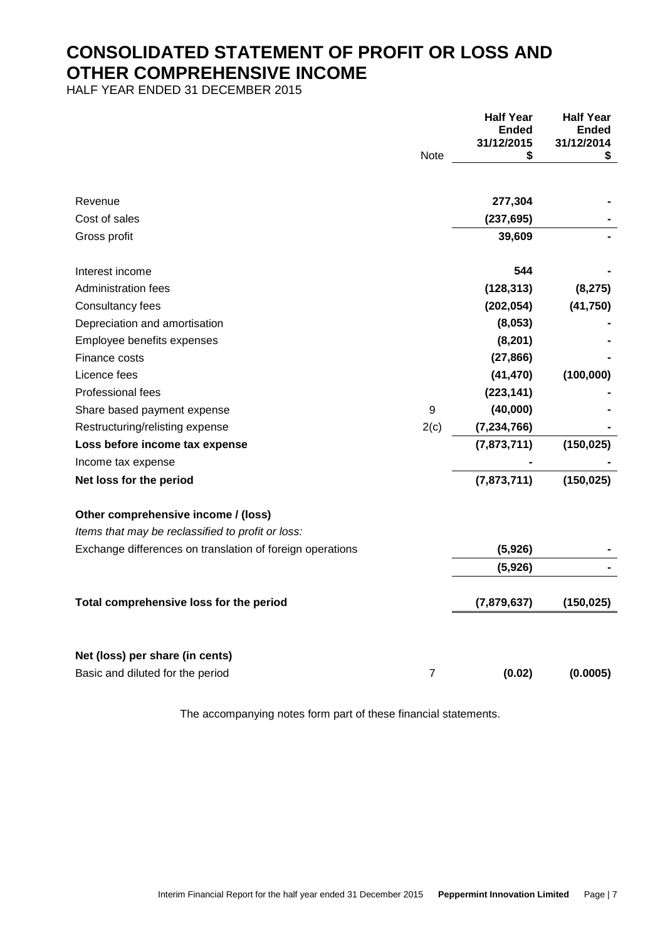### **CONSOLIDATED STATEMENT OF PROFIT OR LOSS AND OTHER COMPREHENSIVE INCOME**

HALF YEAR ENDED 31 DECEMBER 2015

|                                                           |      | <b>Half Year</b> | <b>Half Year</b> |
|-----------------------------------------------------------|------|------------------|------------------|
|                                                           |      | Ended            | Ended            |
|                                                           |      | 31/12/2015       | 31/12/2014       |
|                                                           | Note | \$               | \$               |
| Revenue                                                   |      | 277,304          |                  |
| Cost of sales                                             |      | (237, 695)       |                  |
| Gross profit                                              |      | 39,609           |                  |
| Interest income                                           |      | 544              |                  |
| <b>Administration fees</b>                                |      | (128, 313)       | (8, 275)         |
| Consultancy fees                                          |      | (202, 054)       | (41, 750)        |
| Depreciation and amortisation                             |      | (8,053)          |                  |
| Employee benefits expenses                                |      | (8, 201)         |                  |
| Finance costs                                             |      | (27, 866)        |                  |
| Licence fees                                              |      | (41, 470)        | (100,000)        |
| Professional fees                                         |      | (223, 141)       |                  |
| Share based payment expense                               | 9    | (40,000)         |                  |
| Restructuring/relisting expense                           | 2(c) | (7, 234, 766)    |                  |
| Loss before income tax expense                            |      | (7,873,711)      | (150, 025)       |
| Income tax expense                                        |      |                  |                  |
| Net loss for the period                                   |      | (7,873,711)      | (150, 025)       |
| Other comprehensive income / (loss)                       |      |                  |                  |
| Items that may be reclassified to profit or loss:         |      |                  |                  |
| Exchange differences on translation of foreign operations |      | (5,926)          |                  |
|                                                           |      | (5,926)          |                  |
| Total comprehensive loss for the period                   |      | (7,879,637)      | (150, 025)       |
|                                                           |      |                  |                  |
| Net (loss) per share (in cents)                           |      |                  |                  |
| Basic and diluted for the period                          | 7    | (0.02)           | (0.0005)         |
|                                                           |      |                  |                  |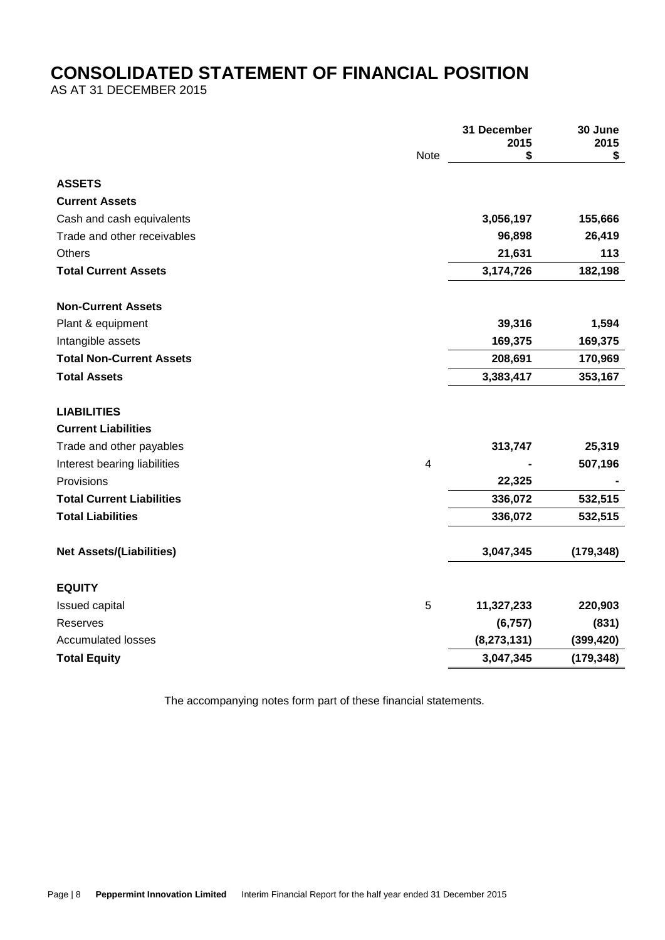### **CONSOLIDATED STATEMENT OF FINANCIAL POSITION**

AS AT 31 DECEMBER 2015

|                                  |                         | 31 December<br>2015 | 30 June<br>2015 |
|----------------------------------|-------------------------|---------------------|-----------------|
|                                  | Note                    | \$                  | \$              |
| <b>ASSETS</b>                    |                         |                     |                 |
| <b>Current Assets</b>            |                         |                     |                 |
| Cash and cash equivalents        |                         | 3,056,197           | 155,666         |
| Trade and other receivables      |                         | 96,898              | 26,419          |
| <b>Others</b>                    |                         | 21,631              | 113             |
| <b>Total Current Assets</b>      |                         | 3,174,726           | 182,198         |
| <b>Non-Current Assets</b>        |                         |                     |                 |
| Plant & equipment                |                         | 39,316              | 1,594           |
| Intangible assets                |                         | 169,375             | 169,375         |
| <b>Total Non-Current Assets</b>  |                         | 208,691             | 170,969         |
| <b>Total Assets</b>              |                         | 3,383,417           | 353,167         |
| <b>LIABILITIES</b>               |                         |                     |                 |
| <b>Current Liabilities</b>       |                         |                     |                 |
| Trade and other payables         |                         | 313,747             | 25,319          |
| Interest bearing liabilities     | $\overline{\mathbf{4}}$ |                     | 507,196         |
| Provisions                       |                         | 22,325              |                 |
| <b>Total Current Liabilities</b> |                         | 336,072             | 532,515         |
| <b>Total Liabilities</b>         |                         | 336,072             | 532,515         |
| <b>Net Assets/(Liabilities)</b>  |                         | 3,047,345           | (179, 348)      |
| <b>EQUITY</b>                    |                         |                     |                 |
| Issued capital                   | 5                       | 11,327,233          | 220,903         |
| Reserves                         |                         | (6, 757)            | (831)           |
| <b>Accumulated losses</b>        |                         | (8, 273, 131)       | (399, 420)      |
| <b>Total Equity</b>              |                         | 3,047,345           | (179, 348)      |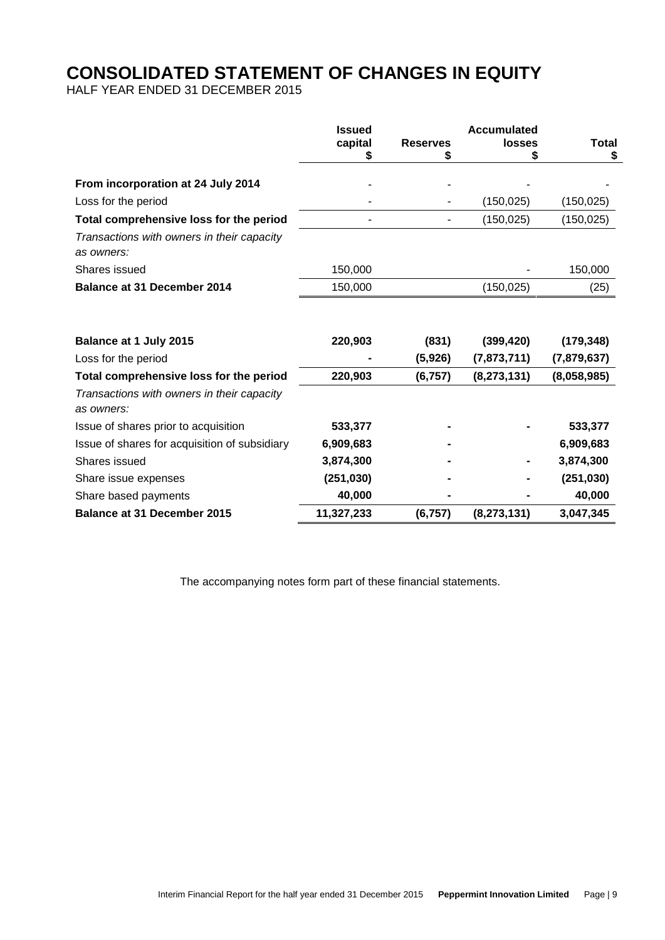### **CONSOLIDATED STATEMENT OF CHANGES IN EQUITY**

HALF YEAR ENDED 31 DECEMBER 2015

|                                                          | <b>Issued</b><br>capital<br>\$ | <b>Reserves</b><br>\$ | <b>Accumulated</b><br>losses<br>5 | <b>Total</b><br>\$ |
|----------------------------------------------------------|--------------------------------|-----------------------|-----------------------------------|--------------------|
| From incorporation at 24 July 2014                       |                                |                       |                                   |                    |
| Loss for the period                                      |                                |                       | (150, 025)                        | (150, 025)         |
| Total comprehensive loss for the period                  |                                |                       | (150, 025)                        | (150, 025)         |
| Transactions with owners in their capacity<br>as owners: |                                |                       |                                   |                    |
| Shares issued                                            | 150,000                        |                       |                                   | 150,000            |
| <b>Balance at 31 December 2014</b>                       | 150,000                        |                       | (150, 025)                        | (25)               |
| Balance at 1 July 2015                                   | 220,903                        | (831)                 | (399, 420)                        | (179, 348)         |
| Loss for the period                                      |                                | (5,926)               | (7,873,711)                       | (7,879,637)        |
| Total comprehensive loss for the period                  | 220,903                        | (6, 757)              | (8, 273, 131)                     | (8,058,985)        |
| Transactions with owners in their capacity<br>as owners: |                                |                       |                                   |                    |
| Issue of shares prior to acquisition                     | 533,377                        |                       |                                   | 533,377            |
| Issue of shares for acquisition of subsidiary            | 6,909,683                      |                       |                                   | 6,909,683          |
| Shares issued                                            | 3,874,300                      |                       |                                   | 3,874,300          |
| Share issue expenses                                     | (251, 030)                     |                       |                                   | (251, 030)         |
| Share based payments                                     | 40,000                         |                       |                                   | 40,000             |
| <b>Balance at 31 December 2015</b>                       | 11,327,233                     | (6, 757)              | (8, 273, 131)                     | 3,047,345          |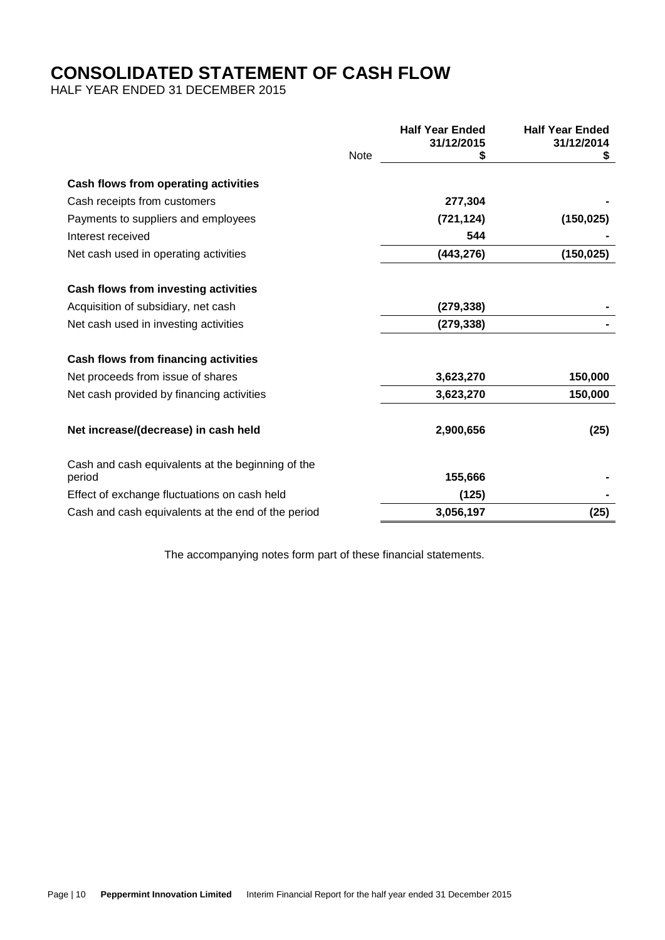# **CONSOLIDATED STATEMENT OF CASH FLOW**

HALF YEAR ENDED 31 DECEMBER 2015

|                                                             |             | <b>Half Year Ended</b> | <b>Half Year Ended</b> |
|-------------------------------------------------------------|-------------|------------------------|------------------------|
|                                                             | <b>Note</b> | 31/12/2015<br>\$       | 31/12/2014<br>S        |
|                                                             |             |                        |                        |
| Cash flows from operating activities                        |             |                        |                        |
| Cash receipts from customers                                |             | 277,304                |                        |
| Payments to suppliers and employees                         |             | (721,124)              | (150, 025)             |
| Interest received                                           |             | 544                    |                        |
| Net cash used in operating activities                       |             | (443, 276)             | (150, 025)             |
| Cash flows from investing activities                        |             |                        |                        |
| Acquisition of subsidiary, net cash                         |             | (279, 338)             |                        |
| Net cash used in investing activities                       |             | (279, 338)             |                        |
| Cash flows from financing activities                        |             |                        |                        |
| Net proceeds from issue of shares                           |             | 3,623,270              | 150,000                |
| Net cash provided by financing activities                   |             | 3,623,270              | 150,000                |
| Net increase/(decrease) in cash held                        |             | 2,900,656              | (25)                   |
| Cash and cash equivalents at the beginning of the<br>period |             | 155,666                |                        |
| Effect of exchange fluctuations on cash held                |             | (125)                  |                        |
| Cash and cash equivalents at the end of the period          |             | 3,056,197              | (25)                   |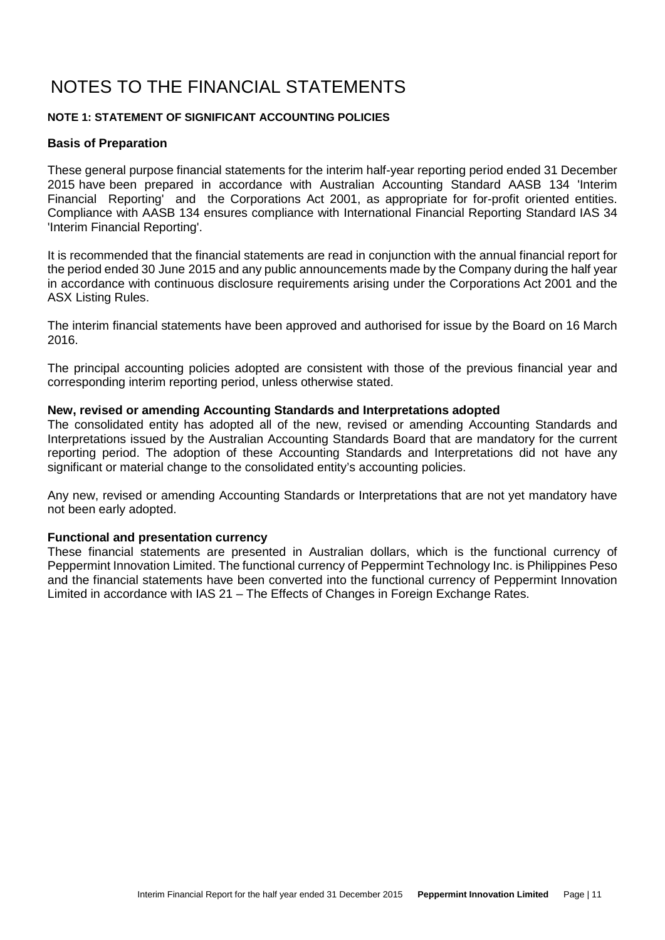#### **NOTE 1: STATEMENT OF SIGNIFICANT ACCOUNTING POLICIES**

#### **Basis of Preparation**

These general purpose financial statements for the interim half-year reporting period ended 31 December 2015 have been prepared in accordance with Australian Accounting Standard AASB 134 'Interim Financial Reporting' and the Corporations Act 2001, as appropriate for for-profit oriented entities. Compliance with AASB 134 ensures compliance with International Financial Reporting Standard IAS 34 'Interim Financial Reporting'.

It is recommended that the financial statements are read in conjunction with the annual financial report for the period ended 30 June 2015 and any public announcements made by the Company during the half year in accordance with continuous disclosure requirements arising under the Corporations Act 2001 and the ASX Listing Rules.

The interim financial statements have been approved and authorised for issue by the Board on 16 March 2016.

The principal accounting policies adopted are consistent with those of the previous financial year and corresponding interim reporting period, unless otherwise stated.

#### **New, revised or amending Accounting Standards and Interpretations adopted**

The consolidated entity has adopted all of the new, revised or amending Accounting Standards and Interpretations issued by the Australian Accounting Standards Board that are mandatory for the current reporting period. The adoption of these Accounting Standards and Interpretations did not have any significant or material change to the consolidated entity's accounting policies.

Any new, revised or amending Accounting Standards or Interpretations that are not yet mandatory have not been early adopted.

#### **Functional and presentation currency**

These financial statements are presented in Australian dollars, which is the functional currency of Peppermint Innovation Limited. The functional currency of Peppermint Technology Inc. is Philippines Peso and the financial statements have been converted into the functional currency of Peppermint Innovation Limited in accordance with IAS 21 – The Effects of Changes in Foreign Exchange Rates.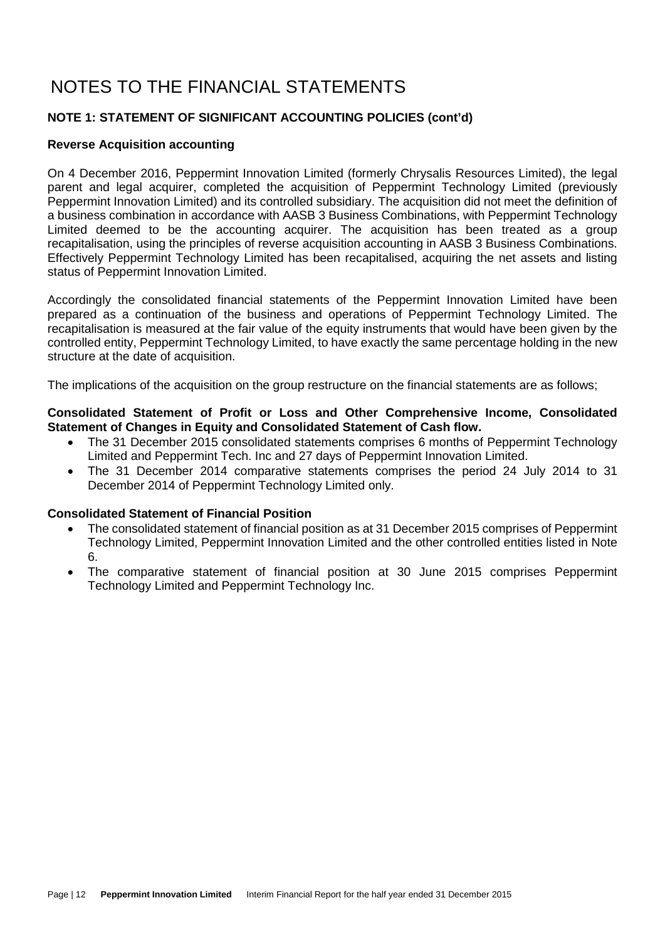### **NOTE 1: STATEMENT OF SIGNIFICANT ACCOUNTING POLICIES (cont'd)**

#### **Reverse Acquisition accounting**

On 4 December 2016, Peppermint Innovation Limited (formerly Chrysalis Resources Limited), the legal parent and legal acquirer, completed the acquisition of Peppermint Technology Limited (previously Peppermint Innovation Limited) and its controlled subsidiary. The acquisition did not meet the definition of a business combination in accordance with AASB 3 Business Combinations, with Peppermint Technology Limited deemed to be the accounting acquirer. The acquisition has been treated as a group recapitalisation, using the principles of reverse acquisition accounting in AASB 3 Business Combinations. Effectively Peppermint Technology Limited has been recapitalised, acquiring the net assets and listing status of Peppermint Innovation Limited.

Accordingly the consolidated financial statements of the Peppermint Innovation Limited have been prepared as a continuation of the business and operations of Peppermint Technology Limited. The recapitalisation is measured at the fair value of the equity instruments that would have been given by the controlled entity, Peppermint Technology Limited, to have exactly the same percentage holding in the new structure at the date of acquisition.

The implications of the acquisition on the group restructure on the financial statements are as follows;

#### **Consolidated Statement of Profit or Loss and Other Comprehensive Income, Consolidated Statement of Changes in Equity and Consolidated Statement of Cash flow.**

- The 31 December 2015 consolidated statements comprises 6 months of Peppermint Technology Limited and Peppermint Tech. Inc and 27 days of Peppermint Innovation Limited.
- The 31 December 2014 comparative statements comprises the period 24 July 2014 to 31 December 2014 of Peppermint Technology Limited only.

#### **Consolidated Statement of Financial Position**

- The consolidated statement of financial position as at 31 December 2015 comprises of Peppermint Technology Limited, Peppermint Innovation Limited and the other controlled entities listed in Note 6.
- The comparative statement of financial position at 30 June 2015 comprises Peppermint Technology Limited and Peppermint Technology Inc.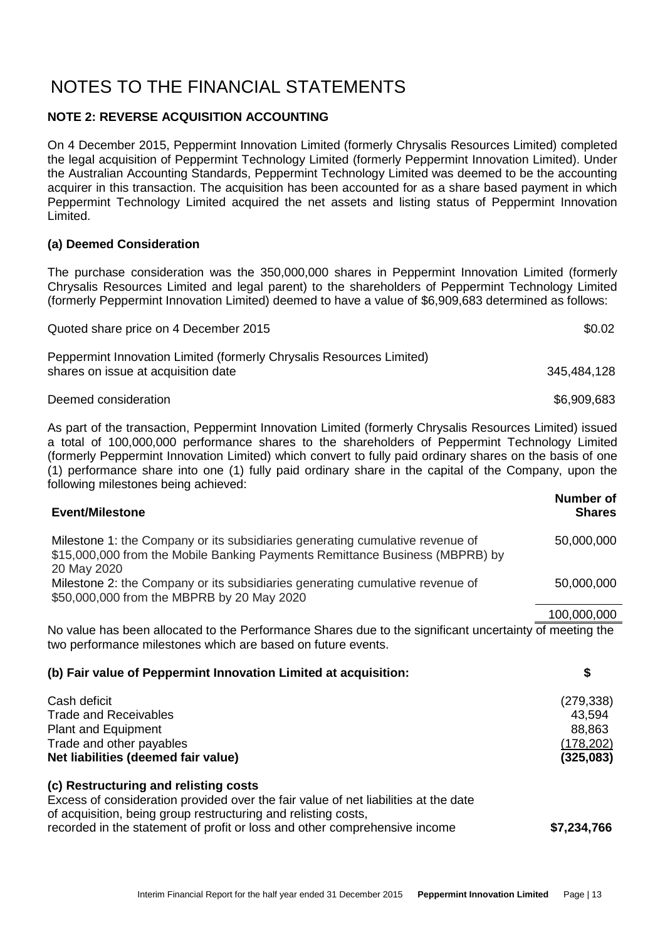### **NOTE 2: REVERSE ACQUISITION ACCOUNTING**

On 4 December 2015, Peppermint Innovation Limited (formerly Chrysalis Resources Limited) completed the legal acquisition of Peppermint Technology Limited (formerly Peppermint Innovation Limited). Under the Australian Accounting Standards, Peppermint Technology Limited was deemed to be the accounting acquirer in this transaction. The acquisition has been accounted for as a share based payment in which Peppermint Technology Limited acquired the net assets and listing status of Peppermint Innovation Limited.

#### **(a) Deemed Consideration**

The purchase consideration was the 350,000,000 shares in Peppermint Innovation Limited (formerly Chrysalis Resources Limited and legal parent) to the shareholders of Peppermint Technology Limited (formerly Peppermint Innovation Limited) deemed to have a value of \$6,909,683 determined as follows:

| Quoted share price on 4 December 2015                                                                       | \$0.02      |
|-------------------------------------------------------------------------------------------------------------|-------------|
| Peppermint Innovation Limited (formerly Chrysalis Resources Limited)<br>shares on issue at acquisition date | 345.484.128 |
| Deemed consideration                                                                                        | \$6,909,683 |

As part of the transaction, Peppermint Innovation Limited (formerly Chrysalis Resources Limited) issued a total of 100,000,000 performance shares to the shareholders of Peppermint Technology Limited (formerly Peppermint Innovation Limited) which convert to fully paid ordinary shares on the basis of one (1) performance share into one (1) fully paid ordinary share in the capital of the Company, upon the following milestones being achieved:

| <b>Event/Milestone</b>                                                                                                                                                       | Number of<br><b>Shares</b> |
|------------------------------------------------------------------------------------------------------------------------------------------------------------------------------|----------------------------|
| Milestone 1: the Company or its subsidiaries generating cumulative revenue of<br>\$15,000,000 from the Mobile Banking Payments Remittance Business (MBPRB) by<br>20 May 2020 | 50,000,000                 |
| Milestone 2: the Company or its subsidiaries generating cumulative revenue of<br>\$50,000,000 from the MBPRB by 20 May 2020                                                  | 50,000,000                 |
|                                                                                                                                                                              | 100,000,000                |
| No value has been allocated to the Performance Shares due to the significant uncertainty of meeting the<br>two performance milestones which are based on future events.      |                            |
| (b) Fair value of Peppermint Innovation Limited at acquisition:                                                                                                              | \$                         |
| Cash deficit                                                                                                                                                                 | (279, 338)                 |
| <b>Trade and Receivables</b>                                                                                                                                                 | 43,594                     |
| <b>Plant and Equipment</b>                                                                                                                                                   | 88,863                     |
| Trade and other payables                                                                                                                                                     | (178, 202)                 |
| Net liabilities (deemed fair value)                                                                                                                                          | (325,083)                  |

**(c) Restructuring and relisting costs**  Excess of consideration provided over the fair value of net liabilities at the date of acquisition, being group restructuring and relisting costs, recorded in the statement of profit or loss and other comprehensive income **\$7,234,766**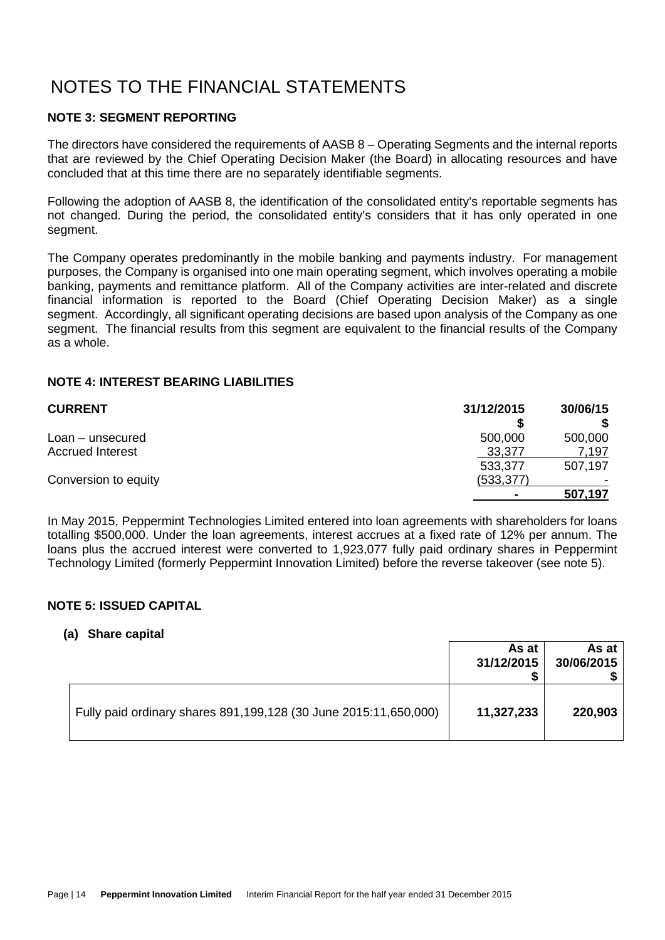### **NOTE 3: SEGMENT REPORTING**

The directors have considered the requirements of AASB 8 – Operating Segments and the internal reports that are reviewed by the Chief Operating Decision Maker (the Board) in allocating resources and have concluded that at this time there are no separately identifiable segments.

Following the adoption of AASB 8, the identification of the consolidated entity's reportable segments has not changed. During the period, the consolidated entity's considers that it has only operated in one segment.

The Company operates predominantly in the mobile banking and payments industry. For management purposes, the Company is organised into one main operating segment, which involves operating a mobile banking, payments and remittance platform. All of the Company activities are inter-related and discrete financial information is reported to the Board (Chief Operating Decision Maker) as a single segment. Accordingly, all significant operating decisions are based upon analysis of the Company as one segment. The financial results from this segment are equivalent to the financial results of the Company as a whole.

### **NOTE 4: INTEREST BEARING LIABILITIES**

| <b>CURRENT</b>          | 31/12/2015     | 30/06/15 |
|-------------------------|----------------|----------|
|                         |                |          |
| Loan – unsecured        | 500,000        | 500,000  |
| <b>Accrued Interest</b> | 33,377         | 7,197    |
|                         | 533,377        | 507,197  |
| Conversion to equity    | (533, 377)     |          |
|                         | $\blacksquare$ | 507,197  |

In May 2015, Peppermint Technologies Limited entered into loan agreements with shareholders for loans totalling \$500,000. Under the loan agreements, interest accrues at a fixed rate of 12% per annum. The loans plus the accrued interest were converted to 1,923,077 fully paid ordinary shares in Peppermint Technology Limited (formerly Peppermint Innovation Limited) before the reverse takeover (see note 5).

### **NOTE 5: ISSUED CAPITAL**

### **(a) Share capital**

|                                                                  | As at<br>31/12/2015 | As at I<br>30/06/2015 |
|------------------------------------------------------------------|---------------------|-----------------------|
| Fully paid ordinary shares 891,199,128 (30 June 2015:11,650,000) | 11,327,233          | 220,903               |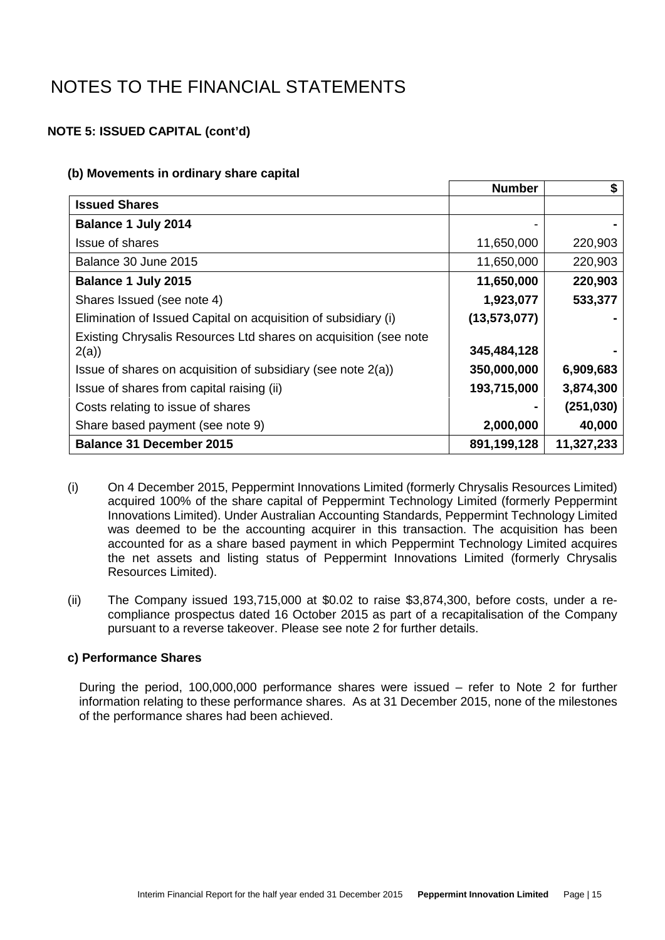### **NOTE 5: ISSUED CAPITAL (cont'd)**

#### **(b) Movements in ordinary share capital**

|                                                                          | <b>Number</b>  | S          |
|--------------------------------------------------------------------------|----------------|------------|
| <b>Issued Shares</b>                                                     |                |            |
| <b>Balance 1 July 2014</b>                                               |                |            |
| <b>Issue of shares</b>                                                   | 11,650,000     | 220,903    |
| Balance 30 June 2015                                                     | 11,650,000     | 220,903    |
| Balance 1 July 2015                                                      | 11,650,000     | 220,903    |
| Shares Issued (see note 4)                                               | 1,923,077      | 533,377    |
| Elimination of Issued Capital on acquisition of subsidiary (i)           | (13, 573, 077) |            |
| Existing Chrysalis Resources Ltd shares on acquisition (see note<br>2(a) | 345,484,128    |            |
| Issue of shares on acquisition of subsidiary (see note 2(a))             | 350,000,000    | 6,909,683  |
| Issue of shares from capital raising (ii)                                | 193,715,000    | 3,874,300  |
| Costs relating to issue of shares                                        |                | (251, 030) |
| Share based payment (see note 9)                                         | 2,000,000      | 40,000     |
| <b>Balance 31 December 2015</b>                                          | 891,199,128    | 11,327,233 |

- (i) On 4 December 2015, Peppermint Innovations Limited (formerly Chrysalis Resources Limited) acquired 100% of the share capital of Peppermint Technology Limited (formerly Peppermint Innovations Limited). Under Australian Accounting Standards, Peppermint Technology Limited was deemed to be the accounting acquirer in this transaction. The acquisition has been accounted for as a share based payment in which Peppermint Technology Limited acquires the net assets and listing status of Peppermint Innovations Limited (formerly Chrysalis Resources Limited).
- (ii) The Company issued 193,715,000 at \$0.02 to raise \$3,874,300, before costs, under a recompliance prospectus dated 16 October 2015 as part of a recapitalisation of the Company pursuant to a reverse takeover. Please see note 2 for further details.

### **c) Performance Shares**

During the period, 100,000,000 performance shares were issued – refer to Note 2 for further information relating to these performance shares. As at 31 December 2015, none of the milestones of the performance shares had been achieved.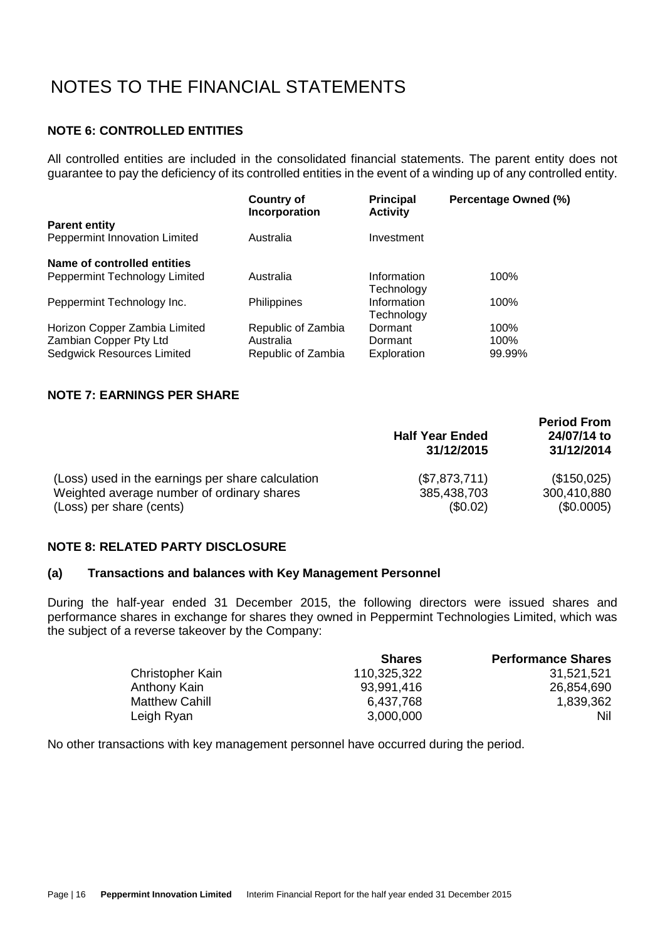### **NOTE 6: CONTROLLED ENTITIES**

All controlled entities are included in the consolidated financial statements. The parent entity does not guarantee to pay the deficiency of its controlled entities in the event of a winding up of any controlled entity.

| <b>Country of</b><br>Incorporation | <b>Principal</b><br><b>Activity</b> | Percentage Owned (%) |
|------------------------------------|-------------------------------------|----------------------|
|                                    |                                     |                      |
| Australia                          | Investment                          |                      |
|                                    |                                     |                      |
| Australia                          | Information                         | 100%                 |
|                                    | Technology                          |                      |
| <b>Philippines</b>                 | Information                         | 100%                 |
|                                    | Technology                          |                      |
| Republic of Zambia                 | Dormant                             | 100%                 |
| Australia                          | Dormant                             | 100%                 |
| Republic of Zambia                 | Exploration                         | 99.99%               |
|                                    |                                     |                      |

### **NOTE 7: EARNINGS PER SHARE**

|                                                   | <b>Half Year Ended</b><br>31/12/2015 | <b>Period From</b><br>24/07/14 to<br>31/12/2014 |
|---------------------------------------------------|--------------------------------------|-------------------------------------------------|
| (Loss) used in the earnings per share calculation | (\$7,873,711)                        | (\$150,025)                                     |
| Weighted average number of ordinary shares        | 385,438,703                          | 300,410,880                                     |
| (Loss) per share (cents)                          | (S0.02)                              | (\$0.0005)                                      |

#### **NOTE 8: RELATED PARTY DISCLOSURE**

#### **(a) Transactions and balances with Key Management Personnel**

During the half-year ended 31 December 2015, the following directors were issued shares and performance shares in exchange for shares they owned in Peppermint Technologies Limited, which was the subject of a reverse takeover by the Company:

|                         | <b>Shares</b> | <b>Performance Shares</b> |
|-------------------------|---------------|---------------------------|
| <b>Christopher Kain</b> | 110,325,322   | 31,521,521                |
| Anthony Kain            | 93,991,416    | 26,854,690                |
| Matthew Cahill          | 6,437,768     | 1,839,362                 |
| Leigh Ryan              | 3,000,000     | Nil.                      |

No other transactions with key management personnel have occurred during the period.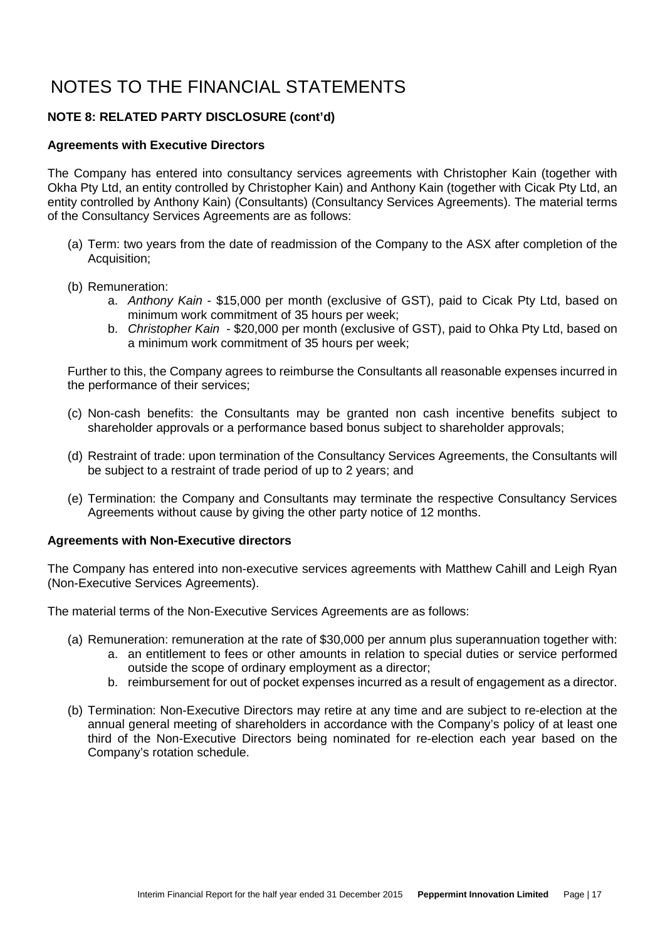### **NOTE 8: RELATED PARTY DISCLOSURE (cont'd)**

#### **Agreements with Executive Directors**

The Company has entered into consultancy services agreements with Christopher Kain (together with Okha Pty Ltd, an entity controlled by Christopher Kain) and Anthony Kain (together with Cicak Pty Ltd, an entity controlled by Anthony Kain) (Consultants) (Consultancy Services Agreements). The material terms of the Consultancy Services Agreements are as follows:

- (a) Term: two years from the date of readmission of the Company to the ASX after completion of the Acquisition;
- (b) Remuneration:
	- a. *Anthony Kain* \$15,000 per month (exclusive of GST), paid to Cicak Pty Ltd, based on minimum work commitment of 35 hours per week;
	- b. *Christopher Kain*  \$20,000 per month (exclusive of GST), paid to Ohka Pty Ltd, based on a minimum work commitment of 35 hours per week;

Further to this, the Company agrees to reimburse the Consultants all reasonable expenses incurred in the performance of their services;

- (c) Non-cash benefits: the Consultants may be granted non cash incentive benefits subject to shareholder approvals or a performance based bonus subject to shareholder approvals;
- (d) Restraint of trade: upon termination of the Consultancy Services Agreements, the Consultants will be subject to a restraint of trade period of up to 2 years; and
- (e) Termination: the Company and Consultants may terminate the respective Consultancy Services Agreements without cause by giving the other party notice of 12 months.

#### **Agreements with Non-Executive directors**

The Company has entered into non-executive services agreements with Matthew Cahill and Leigh Ryan (Non-Executive Services Agreements).

The material terms of the Non-Executive Services Agreements are as follows:

- (a) Remuneration: remuneration at the rate of \$30,000 per annum plus superannuation together with:
	- a. an entitlement to fees or other amounts in relation to special duties or service performed outside the scope of ordinary employment as a director;
	- b. reimbursement for out of pocket expenses incurred as a result of engagement as a director.
- (b) Termination: Non-Executive Directors may retire at any time and are subject to re-election at the annual general meeting of shareholders in accordance with the Company's policy of at least one third of the Non-Executive Directors being nominated for re-election each year based on the Company's rotation schedule.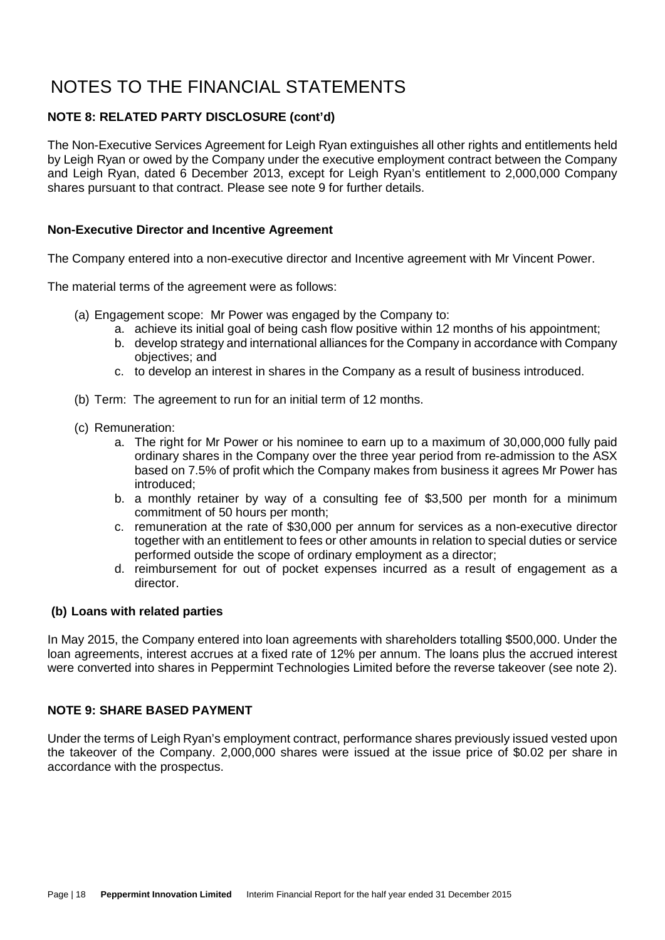### **NOTE 8: RELATED PARTY DISCLOSURE (cont'd)**

The Non-Executive Services Agreement for Leigh Ryan extinguishes all other rights and entitlements held by Leigh Ryan or owed by the Company under the executive employment contract between the Company and Leigh Ryan, dated 6 December 2013, except for Leigh Ryan's entitlement to 2,000,000 Company shares pursuant to that contract. Please see note 9 for further details.

#### **Non-Executive Director and Incentive Agreement**

The Company entered into a non-executive director and Incentive agreement with Mr Vincent Power.

The material terms of the agreement were as follows:

- (a) Engagement scope: Mr Power was engaged by the Company to:
	- a. achieve its initial goal of being cash flow positive within 12 months of his appointment;
	- b. develop strategy and international alliances for the Company in accordance with Company objectives; and
	- c. to develop an interest in shares in the Company as a result of business introduced.
- (b) Term: The agreement to run for an initial term of 12 months.
- (c) Remuneration:
	- a. The right for Mr Power or his nominee to earn up to a maximum of 30,000,000 fully paid ordinary shares in the Company over the three year period from re-admission to the ASX based on 7.5% of profit which the Company makes from business it agrees Mr Power has introduced;
	- b. a monthly retainer by way of a consulting fee of \$3,500 per month for a minimum commitment of 50 hours per month;
	- c. remuneration at the rate of \$30,000 per annum for services as a non-executive director together with an entitlement to fees or other amounts in relation to special duties or service performed outside the scope of ordinary employment as a director;
	- d. reimbursement for out of pocket expenses incurred as a result of engagement as a director.

### **(b) Loans with related parties**

In May 2015, the Company entered into loan agreements with shareholders totalling \$500,000. Under the loan agreements, interest accrues at a fixed rate of 12% per annum. The loans plus the accrued interest were converted into shares in Peppermint Technologies Limited before the reverse takeover (see note 2).

### **NOTE 9: SHARE BASED PAYMENT**

Under the terms of Leigh Ryan's employment contract, performance shares previously issued vested upon the takeover of the Company. 2,000,000 shares were issued at the issue price of \$0.02 per share in accordance with the prospectus.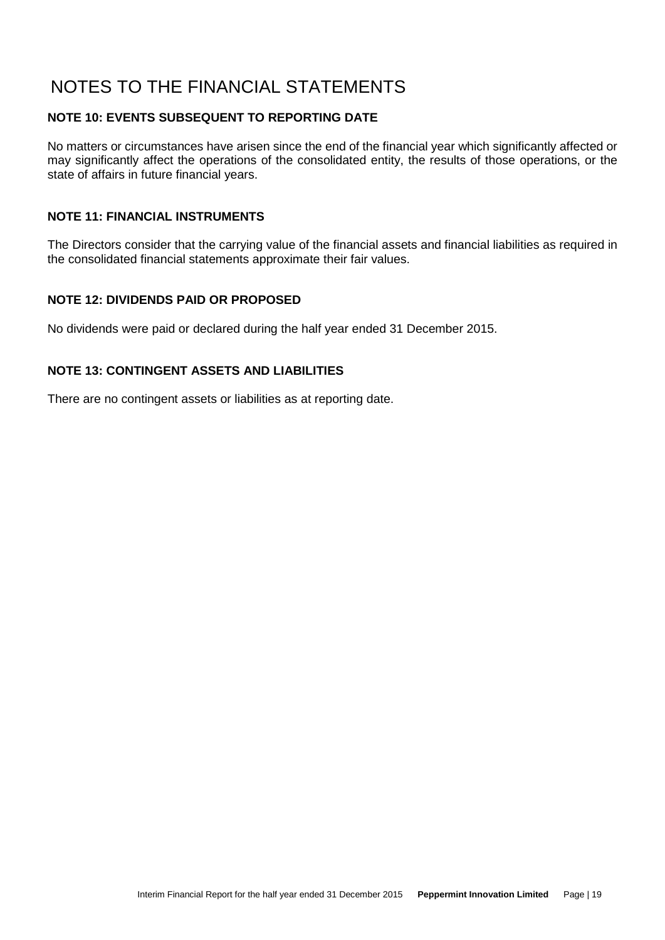### **NOTE 10: EVENTS SUBSEQUENT TO REPORTING DATE**

No matters or circumstances have arisen since the end of the financial year which significantly affected or may significantly affect the operations of the consolidated entity, the results of those operations, or the state of affairs in future financial years.

#### **NOTE 11: FINANCIAL INSTRUMENTS**

The Directors consider that the carrying value of the financial assets and financial liabilities as required in the consolidated financial statements approximate their fair values.

### **NOTE 12: DIVIDENDS PAID OR PROPOSED**

No dividends were paid or declared during the half year ended 31 December 2015.

#### **NOTE 13: CONTINGENT ASSETS AND LIABILITIES**

There are no contingent assets or liabilities as at reporting date.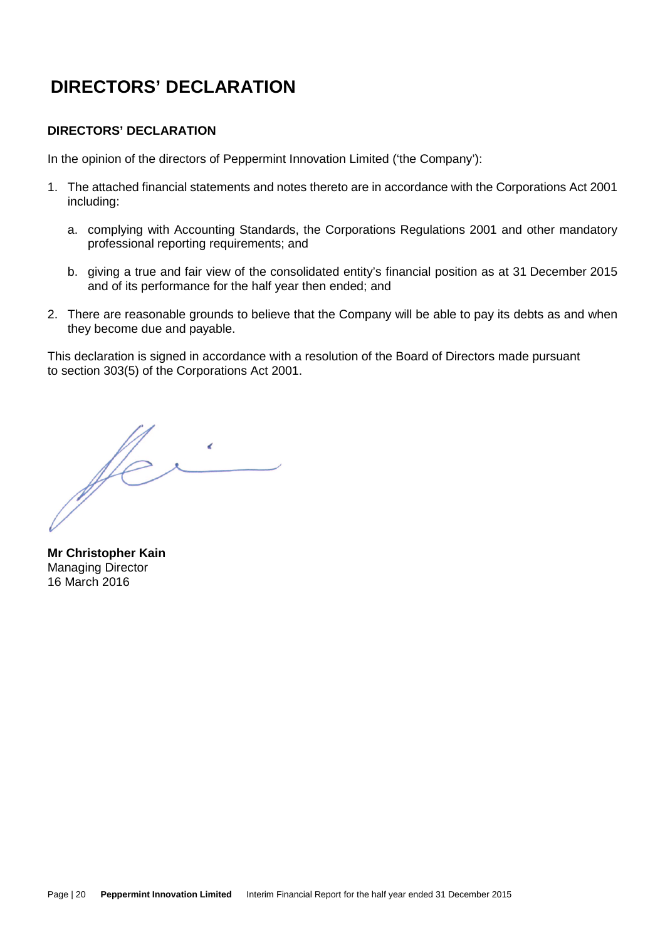# **DIRECTORS' DECLARATION**

### **DIRECTORS' DECLARATION**

In the opinion of the directors of Peppermint Innovation Limited ('the Company'):

- 1. The attached financial statements and notes thereto are in accordance with the Corporations Act 2001 including:
	- a. complying with Accounting Standards, the Corporations Regulations 2001 and other mandatory professional reporting requirements; and
	- b. giving a true and fair view of the consolidated entity's financial position as at 31 December 2015 and of its performance for the half year then ended; and
- 2. There are reasonable grounds to believe that the Company will be able to pay its debts as and when they become due and payable.

This declaration is signed in accordance with a resolution of the Board of Directors made pursuant to section 303(5) of the Corporations Act 2001.

ffe

**Mr Christopher Kain**  Managing Director 16 March 2016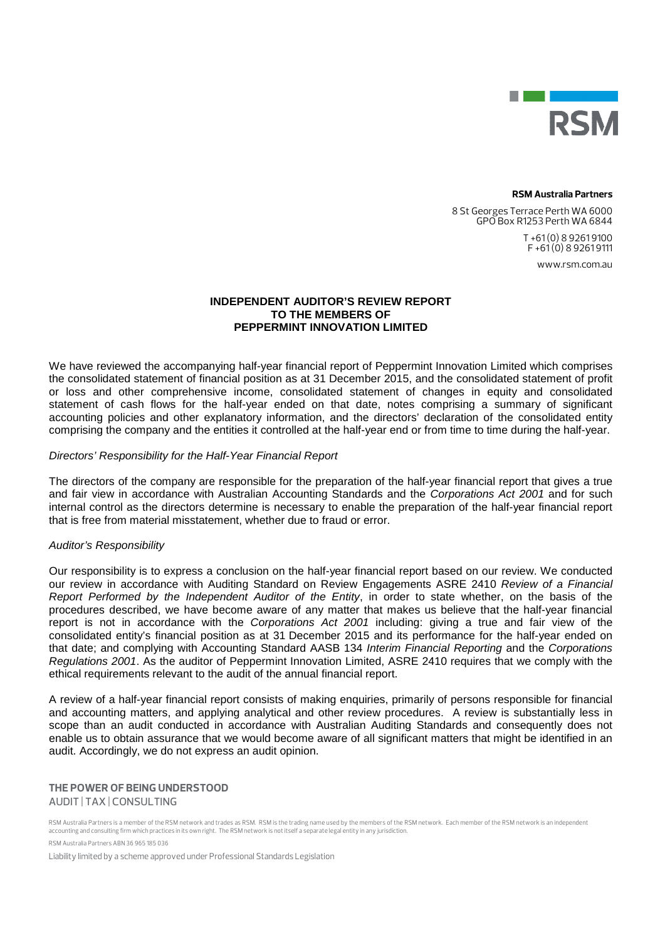

#### **RSM Australia Partners**

8 St Georges Terrace Perth WA 6000 GPO Box R1253 Perth WA 6844 T +61 (0) 8 9261 9100  $F + 61(0)892619111$ 

www.rsm.com.au

#### **INDEPENDENT AUDITOR'S REVIEW REPORT TO THE MEMBERS OF PEPPERMINT INNOVATION LIMITED**

We have reviewed the accompanying half-year financial report of Peppermint Innovation Limited which comprises the consolidated statement of financial position as at 31 December 2015, and the consolidated statement of profit or loss and other comprehensive income, consolidated statement of changes in equity and consolidated statement of cash flows for the half-year ended on that date, notes comprising a summary of significant accounting policies and other explanatory information, and the directors' declaration of the consolidated entity comprising the company and the entities it controlled at the half-year end or from time to time during the half-year.

#### *Directors' Responsibility for the Half-Year Financial Report*

The directors of the company are responsible for the preparation of the half-year financial report that gives a true and fair view in accordance with Australian Accounting Standards and the *Corporations Act 2001* and for such internal control as the directors determine is necessary to enable the preparation of the half-year financial report that is free from material misstatement, whether due to fraud or error.

#### *Auditor's Responsibility*

Our responsibility is to express a conclusion on the half-year financial report based on our review. We conducted our review in accordance with Auditing Standard on Review Engagements ASRE 2410 *Review of a Financial Report Performed by the Independent Auditor of the Entity*, in order to state whether, on the basis of the procedures described, we have become aware of any matter that makes us believe that the half-year financial report is not in accordance with the *Corporations Act 2001* including: giving a true and fair view of the consolidated entity's financial position as at 31 December 2015 and its performance for the half-year ended on that date; and complying with Accounting Standard AASB 134 *Interim Financial Reporting* and the *Corporations Regulations 2001*. As the auditor of Peppermint Innovation Limited, ASRE 2410 requires that we comply with the ethical requirements relevant to the audit of the annual financial report.

A review of a half-year financial report consists of making enquiries, primarily of persons responsible for financial and accounting matters, and applying analytical and other review procedures. A review is substantially less in scope than an audit conducted in accordance with Australian Auditing Standards and consequently does not enable us to obtain assurance that we would become aware of all significant matters that might be identified in an audit. Accordingly, we do not express an audit opinion.

#### **THE POWER OF BEING UNDERSTOOD** AUDIT | TAX | CONSULTING

RSM Australia Partners is a member of the RSM network and trades as RSM. RSM is the trading name used by the members of the RSM network. Each member of the RSM network is an independent<br>accounting and consulting firm which

RSM Australia Partners ABN 36 965 185 036

Liability limited by a scheme approved under Professional Standards Legislation